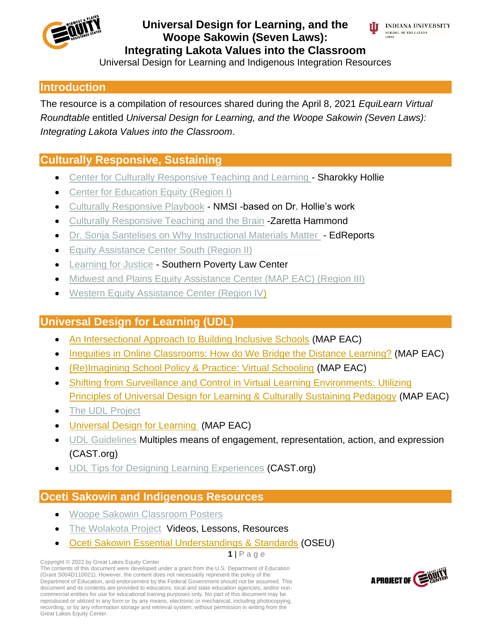

# **Universal Design for Learning, and the Woope Sakowin (Seven Laws):**



**Integrating Lakota Values into the Classroom**

Universal Design for Learning and Indigenous Integration Resources

#### **Introduction**

The resource is a compilation of resources shared during the April 8, 2021 *EquiLearn Virtual Roundtable* entitled *Universal Design for Learning, and the Woope Sakowin (Seven Laws): Integrating Lakota Values into the Classroom*.

## **Culturally Responsive, Sustaining**

- [Center for Culturally Responsive Teaching and Learning -](https://cultrespteachbrain.wordpress.com/resources/) Sharokky Hollie
- [Center for Education Equity \(Region I\)](https://cee-maec.org/)
- [Culturally Responsive Playbook](https://docs.google.com/document/d/1s339SIuCD1w-yUnZElcosAISdDDmKx_r-NbISVghxvM/edit) NMSI -based on Dr. Hollie's work
- [Culturally Responsive Teaching and the Brain](https://cultrespteachbrain.wordpress.com/resources/) -Zaretta Hammond
- [Dr. Sonja Santelises on Why Instructional Materials Matter](https://www.edreports.org/resources/article/the-power-of-quality-curriculum-allows-teacher-leaders-to-emerge)  EdReports
- [Equity Assistance Center South \(Region II\)](https://www.idra.org/)
- [Learning for Justice](https://www.learningforjustice.org/) Southern Poverty Law Center
- [Midwest and Plains Equity Assistance Center \(MAP EAC\) \(Region III\)](https://greatlakesequity.org/)
- [Western Equity Assistance Center \(Region IV\)](https://www.msudenver.edu/weeac/)

#### **Universal Design for Learning (UDL)**

- [An Intersectional Approach to Building Inclusive Schools](https://greatlakesequity.org/resource/intersectional-approach-building-inclusive-schools) (MAP EAC)
- [Inequities in Online Classrooms: How do We Bridge the Distance Learning?](https://greatlakesequity.org/resource/inequities-online-classrooms-how-do-we-bridge-distance-learning) (MAP EAC)
- [\(Re\)Imagining School Policy & Practice: Virtual Schooling](https://greatlakesequity.org/resource/reimagining-school-policy-practice-virtual-schooling) (MAP EAC)
- [Shifting from Surveillance and Control in Virtual Learning Environments: Utilizing](https://greatlakesequity.org/resource/shifting-surveillance-and-control-virtual-learning-environments-utilizing-principles)  [Principles of Universal Design for Learning & Culturally Sustaining Pedagogy](https://greatlakesequity.org/resource/shifting-surveillance-and-control-virtual-learning-environments-utilizing-principles) (MAP EAC)
- [The UDL Project](https://www.theudlproject.com/)
- [Universal Design for Learning](https://greatlakesequity.org/resource/universal-design-learning) (MAP EAC)
- [UDL Guidelines](https://udlguidelines.cast.org/) Multiples means of engagement, representation, action, and expression (CAST.org)
- [UDL Tips for Designing Learning Experiences](https://www.cast.org/products-services/resources/2020/udl-tips-designing-learning-experiences) (CAST.org)

## **Oceti Sakowin and Indigenous Resources**

- [Woope Sakowin Classroom Posters](https://www.wolakotaproject.org/wp-content/uploads/2018/01/lettersizeWoopeSakowin.pdf)
- [The Wolakota Project](http://www.wolakotaproject.org/) Videos, Lessons, Resources
- [Oceti Sakowin Essential Understandings](https://doe.sd.gov/contentstandards/documents/18-OSEUs.pdf) & Standards (OSEU)

**1** | P a g e

Copyright © 2022 by Great Lakes Equity Center The contents of this document were developed under a grant from the U.S. Department of Education (Grant S004D110021). However, the content does not necessarily represent the policy of the Department of Education, and endorsement by the Federal Government should not be assumed. This document and its contents are provided to educators, local and state education agencies, and/or noncommercial entities for use for educational training purposes only. No part of this document may be reproduced or utilized in any form or by any means, electronic or mechanical, including photocopying, recording, or by any information storage and retrieval system, without permission in writing from the Great Lakes Equity Center.